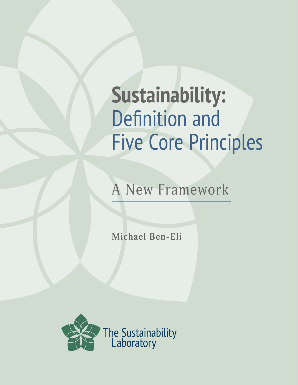# **Sustainability:** Definition and Five Core Principles

## A New Framework

**Michael Ben-Eli**

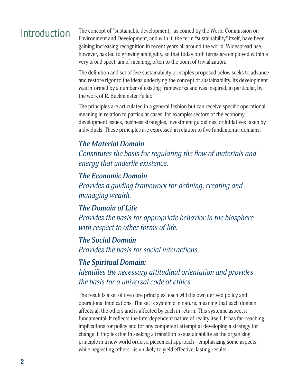### **Introduction**

The concept of "sustainable development," as coined by the World Commission on Environment and Development, and with it, the term "sustainability" itself, have been gaining increasing recognition in recent years all around the world. Widespread use, however, has led to growing ambiguity, so that today both terms are employed within a very broad spectrum of meaning, often to the point of trivialization.

The definition and set of five sustainability principles proposed below seeks to advance and restore rigor to the ideas underlying the concept of sustainability. Its development was informed by a number of existing frameworks and was inspired, in particular, by the work of R. Buckminster Fuller.

The principles are articulated in a general fashion but can receive specific operational meaning in relation to particular cases, for example: sectors of the economy, development issues, business strategies, investment guidelines, or initiatives taken by individuals. These principles are expressed in relation to five fundamental domains:

#### *The Material Domain*

*Constitutes the basis for regulating the flow of materials and energy that underlie existence.*

#### *The Economic Domain*

*Provides a guiding framework for defining, creating and managing wealth.*

#### *The Domain of Life*

*Provides the basis for appropriate behavior in the biosphere with respect to other forms of life.*

#### *The Social Domain*

*Provides the basis for social interactions.*

#### *The Spiritual Domain:*

*Identifies the necessary attitudinal orientation and provides the basis for a universal code of ethics.*

The result is a set of five core principles, each with its own derived policy and operational implications. The set is systemic in nature, meaning that each domain affects all the others and is affected by each in return. This systemic aspect is fundamental. It reflects the interdependent nature of reality itself. It has far-reaching implications for policy and for any competent attempt at developing a strategy for change. It implies that in seeking a transition to sustainability as the organizing principle in a new world order, a piecemeal approach—emphasizing some aspects, while neglecting others—is unlikely to yield effective, lasting results.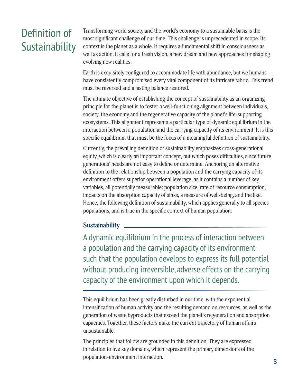### Definition of **Sustainability**

Transforming world society and the world's economy to a sustainable basis is the most significant challenge of our time. This challenge is unprecedented in scope. Its context is the planet as a whole. It requires a fundamental shift in consciousness as well as action. It calls for a fresh vision, a new dream and new approaches for shaping evolving new realities.

Earth is exquisitely configured to accommodate life with abundance, but we humans have consistently compromised every vital component of its intricate fabric. This trend must be reversed and a lasting balance restored.

The ultimate objective of establishing the concept of sustainability as an organizing principle for the planet is to foster a well-functioning alignment between individuals, society, the economy and the regenerative capacity of the planet's life-supporting ecosystems. This alignment represents a particular type of dynamic equilibrium in the interaction between a population and the carrying capacity of its environment. It is this specific equilibrium that must be the focus of a meaningful definition of sustainability.

Currently, the prevailing definition of sustainability emphasizes cross-generational equity, which is clearly an important concept, but which poses difficulties, since future generations' needs are not easy to define or determine. Anchoring an alternative definition to the relationship between a population and the carrying capacity of its environment offers superior operational leverage, as it contains a number of key variables, all potentially measurable: population size, rate of resource consumption, impacts on the absorption capacity of sinks, a measure of well-being, and the like. Hence, the following definition of sustainability, which applies generally to all species populations, and is true in the specific context of human population:

#### **Sustainability**

A dynamic equilibrium in the process of interaction between a population and the carrying capacity of its environment such that the population develops to express its full potential without producing irreversible, adverse effects on the carrying capacity of the environment upon which it depends.

This equilibrium has been greatly disturbed in our time, with the exponential intensification of human activity and the resulting demand on resources, as well as the generation of waste byproducts that exceed the planet's regeneration and absorption capacities. Together, these factors make the current trajectory of human affairs unsustainable.

The principles that follow are grounded in this definition. They are expressed in relation to five key domains, which represent the primary dimensions of the population-environment interaction. **<sup>3</sup>**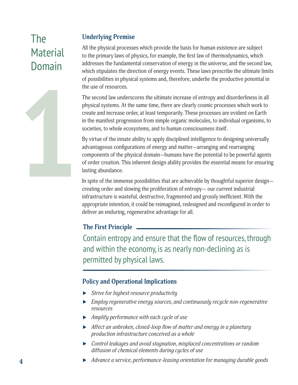### The **Material** Domain

**1**

#### **Underlying Premise**

All the physical processes which provide the basis for human existence are subject to the primary laws of physics, for example, the first law of thermodynamics, which addresses the fundamental conservation of energy in the universe, and the second law, which stipulates the direction of energy events. These laws prescribe the ultimate limits of possibilities in physical systems and, therefore, underlie the productive potential in the use of resources.

The second law underscores the ultimate increase of entropy and disorderliness in all physical systems. At the same time, there are clearly cosmic processes which work to create and increase order, at least temporarily. These processes are evident on Earth in the manifest progression from simple organic molecules, to individual organisms, to societies, to whole ecosystems, and to human consciousness itself.

By virtue of the innate ability to apply disciplined intelligence to designing universally advantageous configurations of energy and matter—arranging and rearranging components of the physical domain—humans have the potential to be powerful agents of order creation. This inherent design ability provides the essential means for ensuring lasting abundance.

In spite of the immense possibilities that are achievable by thoughtful superior design creating order and slowing the proliferation of entropy— our current industrial infrastructure is wasteful, destructive, fragmented and grossly inefficient. With the appropriate intention, it could be reimagined, redesigned and reconfigured in order to deliver an enduring, regenerative advantage for all.

#### **The First Principle**

Contain entropy and ensure that the flow of resources, through and within the economy, is as nearly non-declining as is permitted by physical laws.

- *Strive for highest resource productivity*
- *Employ regenerative energy sources, and continuously recycle non-regenerative resources*
- *Amplify performance with each cycle of use*
- *Affect an unbroken, closed-loop flow of matter and energy in a planetary production infrastructure conceived as a whole*
- *Control leakages and avoid stagnation, misplaced concentrations or random diffusion of chemical elements during cycles of use*
- *Advance a service, performance-leasing orientation for managing durable goods*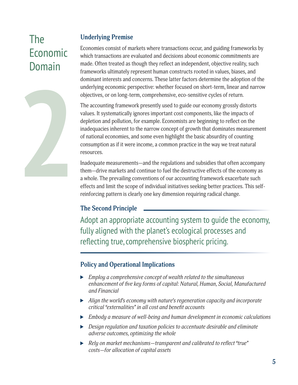### The Economic Domain



#### **Underlying Premise**

Economies consist of markets where transactions occur, and guiding frameworks by which transactions are evaluated and decisions about economic commitments are made. Often treated as though they reflect an independent, objective reality, such frameworks ultimately represent human constructs rooted in values, biases, and dominant interests and concerns. These latter factors determine the adoption of the underlying economic perspective: whether focused on short-term, linear and narrow objectives, or on long-term, comprehensive, eco-sensitive cycles of return.

The accounting framework presently used to guide our economy grossly distorts values. It systematically ignores important cost components, like the impacts of depletion and pollution, for example. Economists are beginning to reflect on the inadequacies inherent to the narrow concept of growth that dominates measurement of national economies, and some even highlight the basic absurdity of counting consumption as if it were income, a common practice in the way we treat natural resources.

Inadequate measurements—and the regulations and subsidies that often accompany them—drive markets and continue to fuel the destructive effects of the economy as a whole. The prevailing conventions of our accounting framework exacerbate such effects and limit the scope of individual initiatives seeking better practices. This selfreinforcing pattern is clearly one key dimension requiring radical change.

#### **The Second Principle**

Adopt an appropriate accounting system to guide the economy, fully aligned with the planet's ecological processes and reflecting true, comprehensive biospheric pricing.

- *Employ a comprehensive concept of wealth related to the simultaneous enhancement of five key forms of capital: Natural, Human, Social, Manufactured and Financial*
- *Align the world's economy with nature's regeneration capacity and incorporate critical "externalities" in all cost and benefit accounts*
- *Embody a measure of well-being and human development in economic calculations*
- *Design regulation and taxation policies to accentuate desirable and eliminate adverse outcomes, optimizing the whole*
- *Rely on market mechanisms—transparent and calibrated to reflect "true" costs—for allocation of capital assets*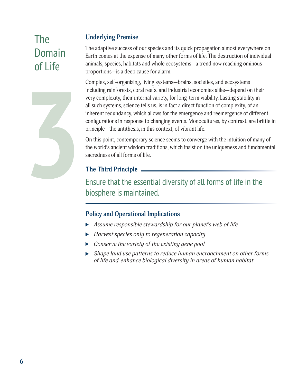### The Domain of Life

**3**

#### **Underlying Premise**

The adaptive success of our species and its quick propagation almost everywhere on Earth comes at the expense of many other forms of life. The destruction of individual animals, species, habitats and whole ecosystems—a trend now reaching ominous proportions—is a deep cause for alarm.

Complex, self-organizing, living systems—brains, societies, and ecosystems including rainforests, coral reefs, and industrial economies alike—depend on their very complexity, their internal variety, for long-term viability. Lasting stability in all such systems, science tells us, is in fact a direct function of complexity, of an inherent redundancy, which allows for the emergence and reemergence of different configurations in response to changing events. Monocultures, by contrast, are brittle in principle—the antithesis, in this context, of vibrant life.

On this point, contemporary science seems to converge with the intuition of many of the world's ancient wisdom traditions, which insist on the uniqueness and fundamental sacredness of all forms of life.

#### **The Third Principle**

Ensure that the essential diversity of all forms of life in the biosphere is maintained.

- *Assume responsible stewardship for our planet's web of life*
- *Harvest species only to regeneration capacity*
- *Conserve the variety of the existing gene pool*
- *Shape land use patterns to reduce human encroachment on other forms of life and enhance biological diversity in areas of human habitat*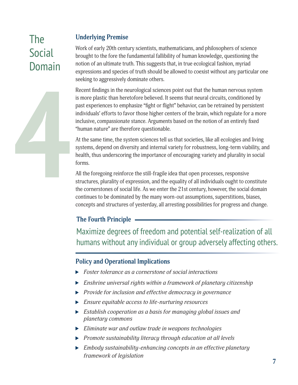### The Social Domain

**4**

#### **Underlying Premise**

Work of early 20th century scientists, mathematicians, and philosophers of science brought to the fore the fundamental fallibility of human knowledge, questioning the notion of an ultimate truth. This suggests that, in true ecological fashion, myriad expressions and species of truth should be allowed to coexist without any particular one seeking to aggressively dominate others.

Recent findings in the neurological sciences point out that the human nervous system is more plastic than heretofore believed. It seems that neural circuits, conditioned by past experiences to emphasize "fight or flight" behavior, can be retrained by persistent individuals' efforts to favor those higher centers of the brain, which regulate for a more inclusive, compassionate stance. Arguments based on the notion of an entirely fixed "human nature" are therefore questionable.

At the same time, the system sciences tell us that societies, like all ecologies and living systems, depend on diversity and internal variety for robustness, long-term viability, and health, thus underscoring the importance of encouraging variety and plurality in social forms.

All the foregoing reinforce the still-fragile idea that open processes, responsive structures, plurality of expression, and the equality of all individuals ought to constitute the cornerstones of social life. As we enter the 21st century, however, the social domain continues to be dominated by the many worn-out assumptions, superstitions, biases, concepts and structures of yesterday, all arresting possibilities for progress and change.

#### **The Fourth Principle**

Maximize degrees of freedom and potential self-realization of all humans without any individual or group adversely affecting others.

- *Foster tolerance as a cornerstone of social interactions*
- *Enshrine universal rights within a framework of planetary citizenship*
- *Provide for inclusion and effective democracy in governance*
- *Ensure equitable access to life-nurturing resources*
- *Establish cooperation as a basis for managing global issues and planetary commons*
- *Eliminate war and outlaw trade in weapons technologies*
- *Promote sustainability literacy through education at all levels*
- *Embody sustainability-enhancing concepts in an effective planetary framework of legislation*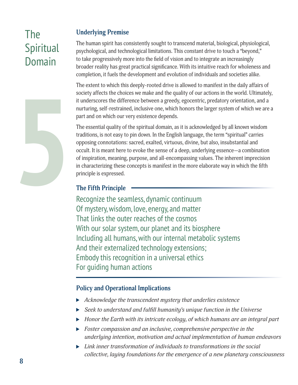### The Spiritual Domain

**5**

#### **Underlying Premise**

The human spirit has consistently sought to transcend material, biological, physiological, psychological, and technological limitations. This constant drive to touch a "beyond," to take progressively more into the field of vision and to integrate an increasingly broader reality has great practical significance. With its intuitive reach for wholeness and completion, it fuels the development and evolution of individuals and societies alike.

The extent to which this deeply-rooted drive is allowed to manifest in the daily affairs of society affects the choices we make and the quality of our actions in the world. Ultimately, it underscores the difference between a greedy, egocentric, predatory orientation, and a nurturing, self-restrained, inclusive one, which honors the larger system of which we are a part and on which our very existence depends.

The essential quality of the spiritual domain, as it is acknowledged by all known wisdom traditions, is not easy to pin down. In the English language, the term "spiritual" carries opposing connotations: sacred, exalted, virtuous, divine, but also, insubstantial and occult. It is meant here to evoke the sense of a deep, underlying essence—a combination of inspiration, meaning, purpose, and all-encompassing values. The inherent imprecision in characterizing these concepts is manifest in the more elaborate way in which the fifth principle is expressed.

#### **The Fifth Principle**

Recognize the seamless, dynamic continuum Of mystery, wisdom, love, energy, and matter That links the outer reaches of the cosmos With our solar system, our planet and its biosphere Including all humans, with our internal metabolic systems And their externalized technology extensions; Embody this recognition in a universal ethics For guiding human actions

- *Acknowledge the transcendent mystery that underlies existence*
- *Seek to understand and fulfill humanity's unique function in the Universe*
- *Honor the Earth with its intricate ecology, of which humans are an integral part*
- *Foster compassion and an inclusive, comprehensive perspective in the underlying intention, motivation and actual implementation of human endeavors*
- *Link inner transformation of individuals to transformations in the social collective, laying foundations for the emergence of a new planetary consciousness*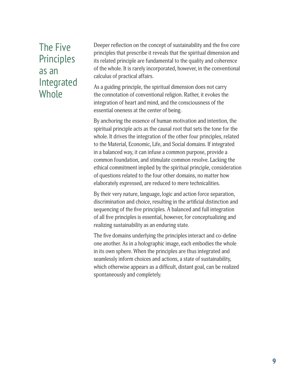### The Five **Principles** as an Integrated **Whole**

Deeper reflection on the concept of sustainability and the five core principles that prescribe it reveals that the spiritual dimension and its related principle are fundamental to the quality and coherence of the whole. It is rarely incorporated, however, in the conventional calculus of practical affairs.

As a guiding principle, the spiritual dimension does not carry the connotation of conventional religion. Rather, it evokes the integration of heart and mind, and the consciousness of the essential oneness at the center of being.

By anchoring the essence of human motivation and intention, the spiritual principle acts as the causal root that sets the tone for the whole. It drives the integration of the other four principles, related to the Material, Economic, Life, and Social domains. If integrated in a balanced way, it can infuse a common purpose, provide a common foundation, and stimulate common resolve. Lacking the ethical commitment implied by the spiritual principle, consideration of questions related to the four other domains, no matter how elaborately expressed, are reduced to mere technicalities.

By their very nature, language, logic and action force separation, discrimination and choice, resulting in the artificial distinction and sequencing of the five principles. A balanced and full integration of all five principles is essential, however, for conceptualizing and realizing sustainability as an enduring state.

The five domains underlying the principles interact and co-define one another. As in a holographic image, each embodies the whole in its own sphere. When the principles are thus integrated and seamlessly inform choices and actions, a state of sustainability, which otherwise appears as a difficult, distant goal, can be realized spontaneously and completely.